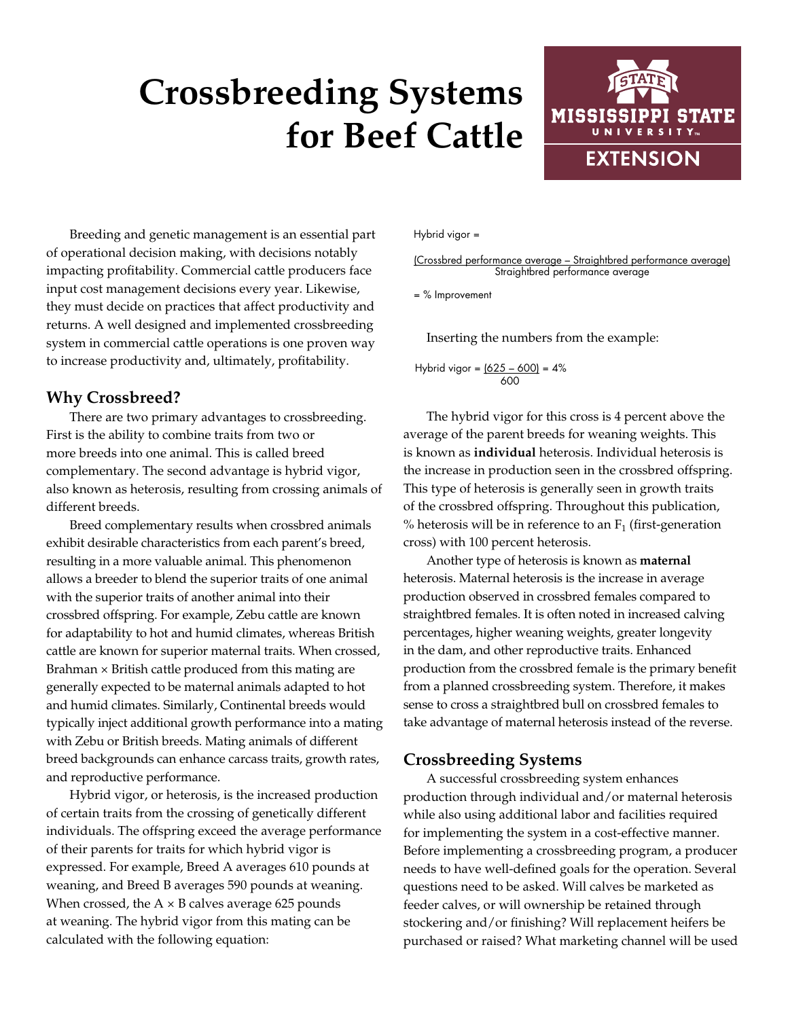# **Crossbreeding Systems for Beef Cattle**



Breeding and genetic management is an essential part of operational decision making, with decisions notably impacting profitability. Commercial cattle producers face input cost management decisions every year. Likewise, they must decide on practices that affect productivity and returns. A well designed and implemented crossbreeding system in commercial cattle operations is one proven way to increase productivity and, ultimately, profitability.

## **Why Crossbreed?**

There are two primary advantages to crossbreeding. First is the ability to combine traits from two or more breeds into one animal. This is called breed complementary. The second advantage is hybrid vigor, also known as heterosis, resulting from crossing animals of different breeds.

Breed complementary results when crossbred animals exhibit desirable characteristics from each parent's breed, resulting in a more valuable animal. This phenomenon allows a breeder to blend the superior traits of one animal with the superior traits of another animal into their crossbred offspring. For example, Zebu cattle are known for adaptability to hot and humid climates, whereas British cattle are known for superior maternal traits. When crossed, Brahman  $\times$  British cattle produced from this mating are generally expected to be maternal animals adapted to hot and humid climates. Similarly, Continental breeds would typically inject additional growth performance into a mating with Zebu or British breeds. Mating animals of different breed backgrounds can enhance carcass traits, growth rates, and reproductive performance.

Hybrid vigor, or heterosis, is the increased production of certain traits from the crossing of genetically different individuals. The offspring exceed the average performance of their parents for traits for which hybrid vigor is expressed. For example, Breed A averages 610 pounds at weaning, and Breed B averages 590 pounds at weaning. When crossed, the  $A \times B$  calves average 625 pounds at weaning. The hybrid vigor from this mating can be calculated with the following equation:

#### Hybrid vigor =

(Crossbred performance average – Straightbred performance average) Straightbred performance average

= % Improvement

Inserting the numbers from the example:

Hybrid vigor =  $(625 - 600) = 4\%$ 600

The hybrid vigor for this cross is 4 percent above the average of the parent breeds for weaning weights. This is known as **individual** heterosis. Individual heterosis is the increase in production seen in the crossbred offspring. This type of heterosis is generally seen in growth traits of the crossbred offspring. Throughout this publication, % heterosis will be in reference to an  $F_1$  (first-generation cross) with 100 percent heterosis.

Another type of heterosis is known as **maternal** heterosis. Maternal heterosis is the increase in average production observed in crossbred females compared to straightbred females. It is often noted in increased calving percentages, higher weaning weights, greater longevity in the dam, and other reproductive traits. Enhanced production from the crossbred female is the primary benefit from a planned crossbreeding system. Therefore, it makes sense to cross a straightbred bull on crossbred females to take advantage of maternal heterosis instead of the reverse.

## **Crossbreeding Systems**

A successful crossbreeding system enhances production through individual and/or maternal heterosis while also using additional labor and facilities required for implementing the system in a cost-effective manner. Before implementing a crossbreeding program, a producer needs to have well-defined goals for the operation. Several questions need to be asked. Will calves be marketed as feeder calves, or will ownership be retained through stockering and/or finishing? Will replacement heifers be purchased or raised? What marketing channel will be used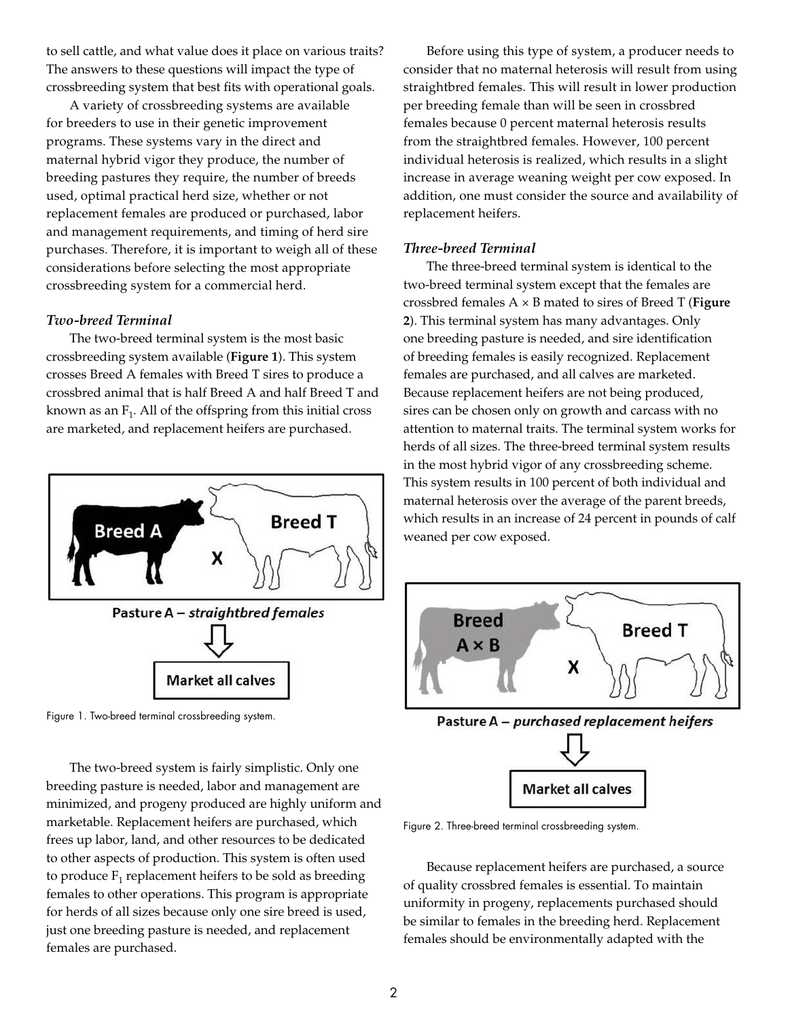to sell cattle, and what value does it place on various traits? The answers to these questions will impact the type of crossbreeding system that best fits with operational goals.

A variety of crossbreeding systems are available for breeders to use in their genetic improvement programs. These systems vary in the direct and maternal hybrid vigor they produce, the number of breeding pastures they require, the number of breeds used, optimal practical herd size, whether or not replacement females are produced or purchased, labor and management requirements, and timing of herd sire purchases. Therefore, it is important to weigh all of these considerations before selecting the most appropriate crossbreeding system for a commercial herd.

#### *Two-breed Terminal*

The two-breed terminal system is the most basic crossbreeding system available (**Figure 1**). This system crosses Breed A females with Breed T sires to produce a crossbred animal that is half Breed A and half Breed T and known as an  $F_1$ . All of the offspring from this initial cross are marketed, and replacement heifers are purchased.



Figure 1. Two-breed terminal crossbreeding system.

The two-breed system is fairly simplistic. Only one breeding pasture is needed, labor and management are minimized, and progeny produced are highly uniform and marketable. Replacement heifers are purchased, which frees up labor, land, and other resources to be dedicated to other aspects of production. This system is often used to produce  $F_1$  replacement heifers to be sold as breeding females to other operations. This program is appropriate for herds of all sizes because only one sire breed is used, just one breeding pasture is needed, and replacement females are purchased.

Before using this type of system, a producer needs to consider that no maternal heterosis will result from using straightbred females. This will result in lower production per breeding female than will be seen in crossbred females because 0 percent maternal heterosis results from the straightbred females. However, 100 percent individual heterosis is realized, which results in a slight increase in average weaning weight per cow exposed. In addition, one must consider the source and availability of replacement heifers.

#### *Three-breed Terminal*

The three-breed terminal system is identical to the two-breed terminal system except that the females are crossbred females A × B mated to sires of Breed T (**Figure 2**). This terminal system has many advantages. Only one breeding pasture is needed, and sire identification of breeding females is easily recognized. Replacement females are purchased, and all calves are marketed. Because replacement heifers are not being produced, sires can be chosen only on growth and carcass with no attention to maternal traits. The terminal system works for herds of all sizes. The three-breed terminal system results in the most hybrid vigor of any crossbreeding scheme. This system results in 100 percent of both individual and maternal heterosis over the average of the parent breeds, which results in an increase of 24 percent in pounds of calf weaned per cow exposed.



Figure 2. Three-breed terminal crossbreeding system.

Because replacement heifers are purchased, a source of quality crossbred females is essential. To maintain uniformity in progeny, replacements purchased should be similar to females in the breeding herd. Replacement females should be environmentally adapted with the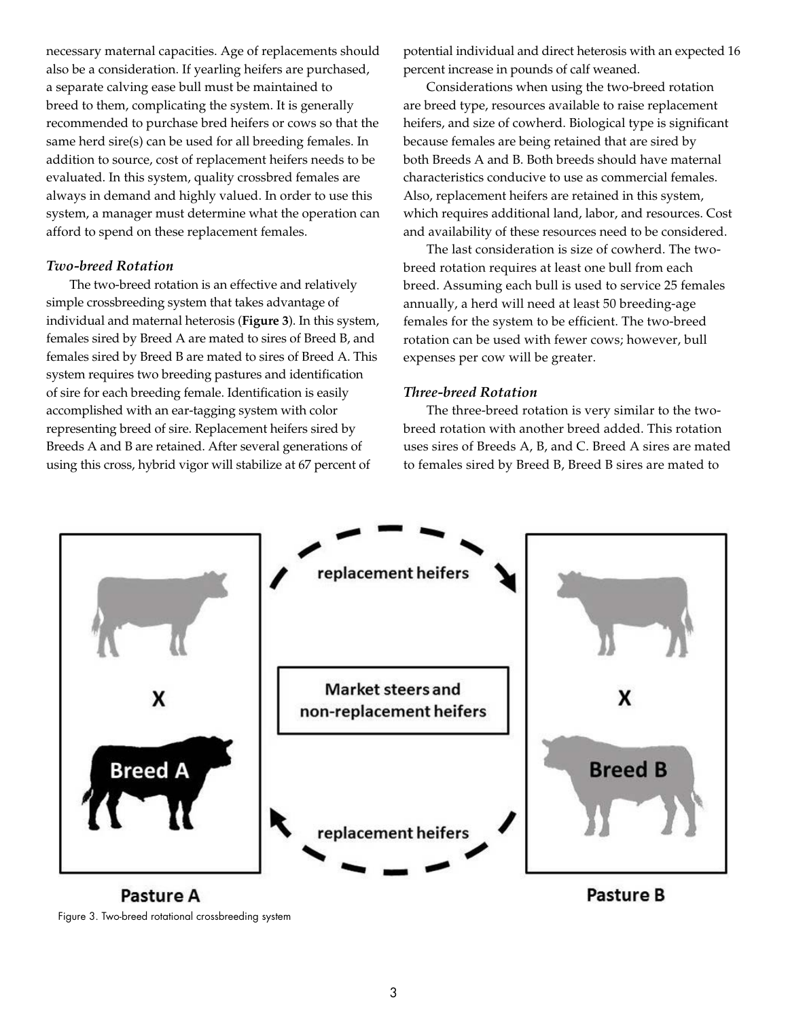necessary maternal capacities. Age of replacements should also be a consideration. If yearling heifers are purchased, a separate calving ease bull must be maintained to breed to them, complicating the system. It is generally recommended to purchase bred heifers or cows so that the same herd sire(s) can be used for all breeding females. In addition to source, cost of replacement heifers needs to be evaluated. In this system, quality crossbred females are always in demand and highly valued. In order to use this system, a manager must determine what the operation can afford to spend on these replacement females.

#### *Two-breed Rotation*

The two-breed rotation is an effective and relatively simple crossbreeding system that takes advantage of individual and maternal heterosis (**Figure 3**). In this system, females sired by Breed A are mated to sires of Breed B, and females sired by Breed B are mated to sires of Breed A. This system requires two breeding pastures and identification of sire for each breeding female. Identification is easily accomplished with an ear-tagging system with color representing breed of sire. Replacement heifers sired by Breeds A and B are retained. After several generations of using this cross, hybrid vigor will stabilize at 67 percent of

potential individual and direct heterosis with an expected 16 percent increase in pounds of calf weaned.

Considerations when using the two-breed rotation are breed type, resources available to raise replacement heifers, and size of cowherd. Biological type is significant because females are being retained that are sired by both Breeds A and B. Both breeds should have maternal characteristics conducive to use as commercial females. Also, replacement heifers are retained in this system, which requires additional land, labor, and resources. Cost and availability of these resources need to be considered.

The last consideration is size of cowherd. The twobreed rotation requires at least one bull from each breed. Assuming each bull is used to service 25 females annually, a herd will need at least 50 breeding-age females for the system to be efficient. The two-breed rotation can be used with fewer cows; however, bull expenses per cow will be greater.

#### *Three-breed Rotation*

The three-breed rotation is very similar to the twobreed rotation with another breed added. This rotation uses sires of Breeds A, B, and C. Breed A sires are mated to females sired by Breed B, Breed B sires are mated to



Figure 3. Two-breed rotational crossbreeding system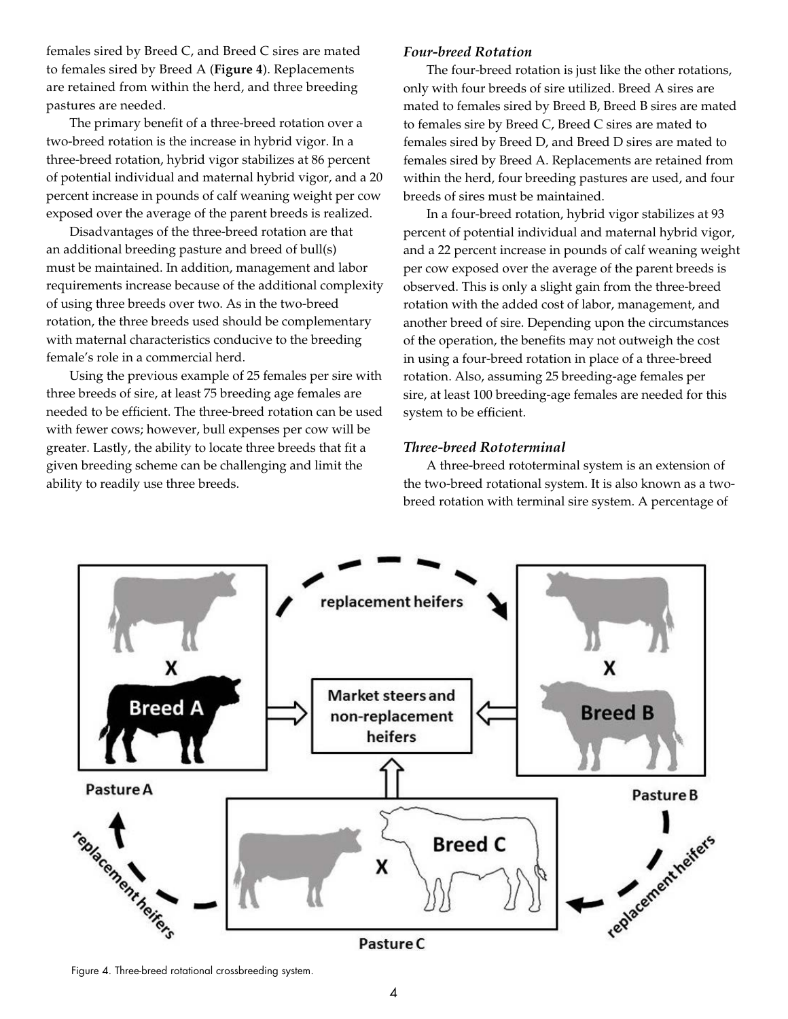females sired by Breed C, and Breed C sires are mated to females sired by Breed A (**Figure 4**). Replacements are retained from within the herd, and three breeding pastures are needed.

The primary benefit of a three-breed rotation over a two-breed rotation is the increase in hybrid vigor. In a three-breed rotation, hybrid vigor stabilizes at 86 percent of potential individual and maternal hybrid vigor, and a 20 percent increase in pounds of calf weaning weight per cow exposed over the average of the parent breeds is realized.

Disadvantages of the three-breed rotation are that an additional breeding pasture and breed of bull(s) must be maintained. In addition, management and labor requirements increase because of the additional complexity of using three breeds over two. As in the two-breed rotation, the three breeds used should be complementary with maternal characteristics conducive to the breeding female's role in a commercial herd.

Using the previous example of 25 females per sire with three breeds of sire, at least 75 breeding age females are needed to be efficient. The three-breed rotation can be used with fewer cows; however, bull expenses per cow will be greater. Lastly, the ability to locate three breeds that fit a given breeding scheme can be challenging and limit the ability to readily use three breeds.

#### *Four-breed Rotation*

The four-breed rotation is just like the other rotations, only with four breeds of sire utilized. Breed A sires are mated to females sired by Breed B, Breed B sires are mated to females sire by Breed C, Breed C sires are mated to females sired by Breed D, and Breed D sires are mated to females sired by Breed A. Replacements are retained from within the herd, four breeding pastures are used, and four breeds of sires must be maintained.

In a four-breed rotation, hybrid vigor stabilizes at 93 percent of potential individual and maternal hybrid vigor, and a 22 percent increase in pounds of calf weaning weight per cow exposed over the average of the parent breeds is observed. This is only a slight gain from the three-breed rotation with the added cost of labor, management, and another breed of sire. Depending upon the circumstances of the operation, the benefits may not outweigh the cost in using a four-breed rotation in place of a three-breed rotation. Also, assuming 25 breeding-age females per sire, at least 100 breeding-age females are needed for this system to be efficient.

#### *Three-breed Rototerminal*

A three-breed rototerminal system is an extension of the two-breed rotational system. It is also known as a twobreed rotation with terminal sire system. A percentage of



Figure 4. Three-breed rotational crossbreeding system.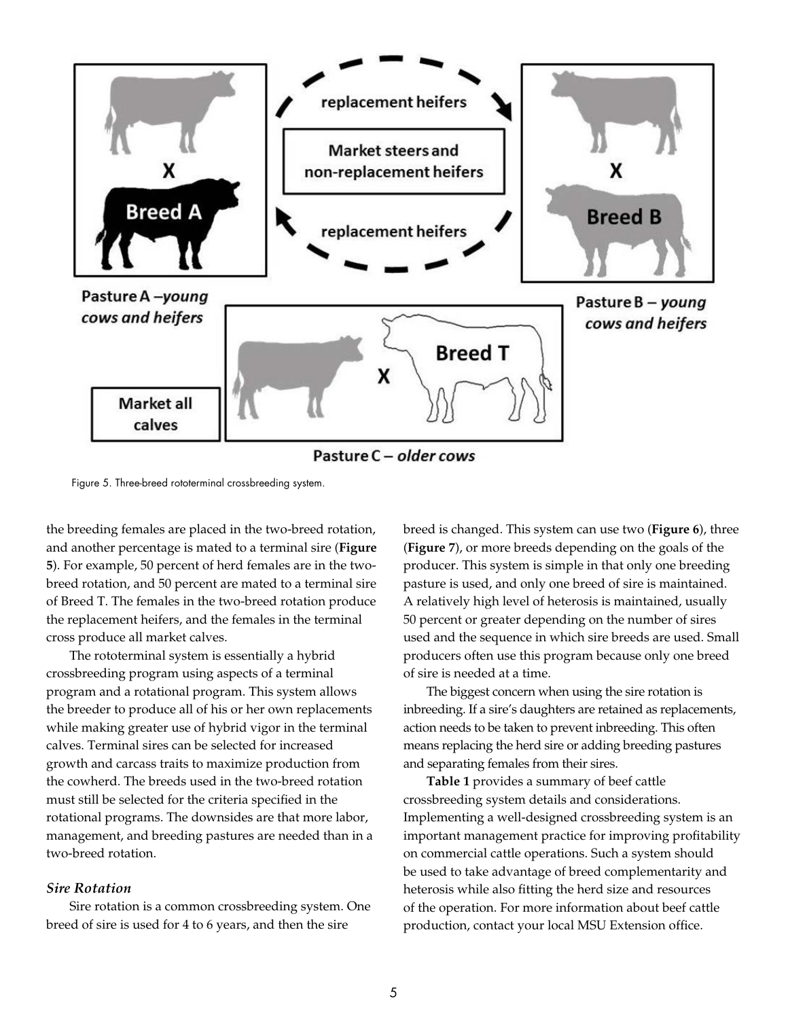

Pasture C - older cows

Figure 5. Three-breed rototerminal crossbreeding system.

the breeding females are placed in the two-breed rotation, and another percentage is mated to a terminal sire (**Figure 5**). For example, 50 percent of herd females are in the twobreed rotation, and 50 percent are mated to a terminal sire of Breed T. The females in the two-breed rotation produce the replacement heifers, and the females in the terminal cross produce all market calves.

The rototerminal system is essentially a hybrid crossbreeding program using aspects of a terminal program and a rotational program. This system allows the breeder to produce all of his or her own replacements while making greater use of hybrid vigor in the terminal calves. Terminal sires can be selected for increased growth and carcass traits to maximize production from the cowherd. The breeds used in the two-breed rotation must still be selected for the criteria specified in the rotational programs. The downsides are that more labor, management, and breeding pastures are needed than in a two-breed rotation.

### *Sire Rotation*

Sire rotation is a common crossbreeding system. One breed of sire is used for 4 to 6 years, and then the sire

breed is changed. This system can use two (**Figure 6**), three (**Figure 7**), or more breeds depending on the goals of the producer. This system is simple in that only one breeding pasture is used, and only one breed of sire is maintained. A relatively high level of heterosis is maintained, usually 50 percent or greater depending on the number of sires used and the sequence in which sire breeds are used. Small producers often use this program because only one breed of sire is needed at a time.

The biggest concern when using the sire rotation is inbreeding. If a sire's daughters are retained as replacements, action needs to be taken to prevent inbreeding. This often means replacing the herd sire or adding breeding pastures and separating females from their sires.

**Table 1** provides a summary of beef cattle crossbreeding system details and considerations. Implementing a well-designed crossbreeding system is an important management practice for improving profitability on commercial cattle operations. Such a system should be used to take advantage of breed complementarity and heterosis while also fitting the herd size and resources of the operation. For more information about beef cattle production, contact your local MSU Extension office.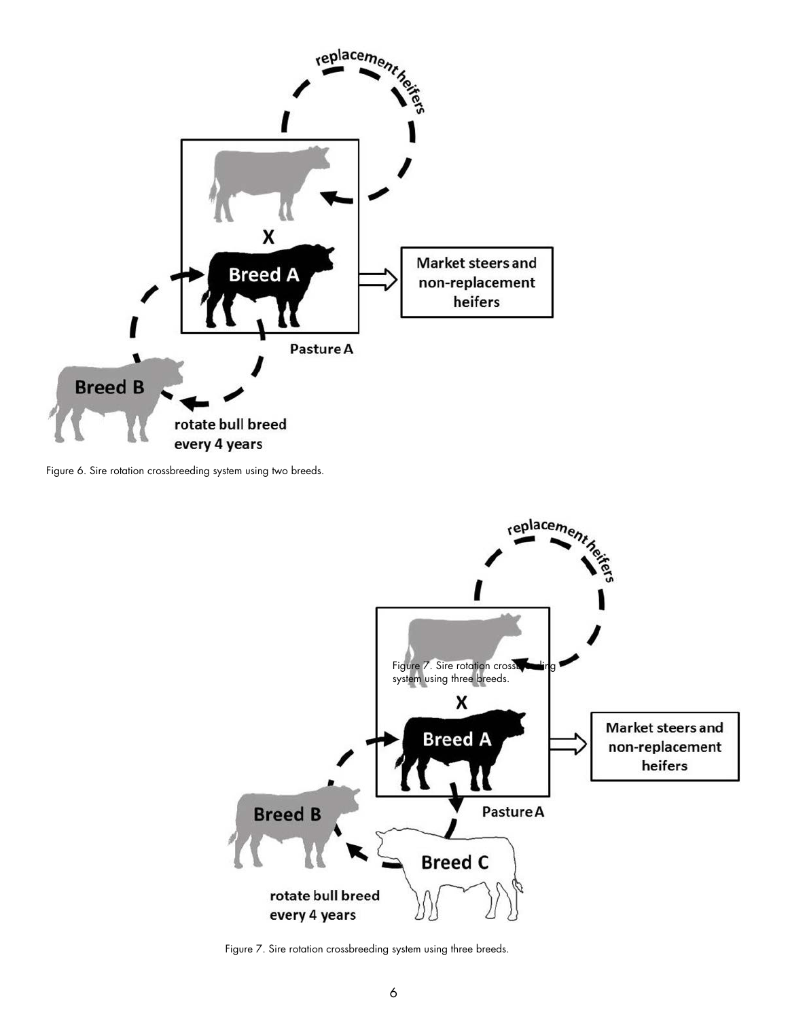

Figure 6. Sire rotation crossbreeding system using two breeds.



Figure 7. Sire rotation crossbreeding system using three breeds.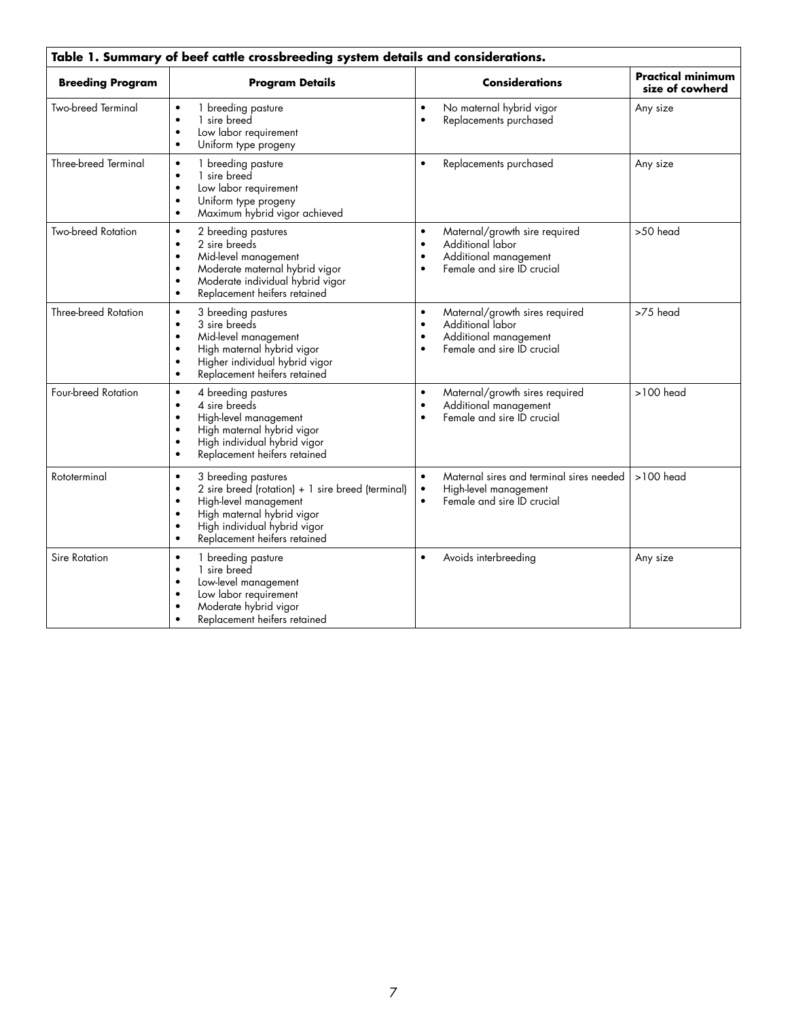| Table 1. Summary of beef cattle crossbreeding system details and considerations. |                                                                                                                                                                                                                                                                               |                                                                                                                                                               |                                             |
|----------------------------------------------------------------------------------|-------------------------------------------------------------------------------------------------------------------------------------------------------------------------------------------------------------------------------------------------------------------------------|---------------------------------------------------------------------------------------------------------------------------------------------------------------|---------------------------------------------|
| <b>Breeding Program</b>                                                          | <b>Program Details</b>                                                                                                                                                                                                                                                        | <b>Considerations</b>                                                                                                                                         | <b>Practical minimum</b><br>size of cowherd |
| Two-breed Terminal                                                               | 1 breeding pasture<br>$\bullet$<br>1 sire breed<br>$\bullet$<br>Low labor requirement<br>$\bullet$<br>Uniform type progeny<br>$\bullet$                                                                                                                                       | No maternal hybrid vigor<br>$\bullet$<br>Replacements purchased<br>$\bullet$                                                                                  | Any size                                    |
| Three-breed Terminal                                                             | 1 breeding pasture<br>$\bullet$<br>1 sire breed<br>$\bullet$<br>Low labor requirement<br>$\bullet$<br>Uniform type progeny<br>$\bullet$<br>Maximum hybrid vigor achieved<br>$\bullet$                                                                                         | Replacements purchased<br>$\bullet$                                                                                                                           | Any size                                    |
| <b>Two-breed Rotation</b>                                                        | 2 breeding pastures<br>$\bullet$<br>2 sire breeds<br>$\bullet$<br>Mid-level management<br>$\bullet$<br>Moderate maternal hybrid vigor<br>$\bullet$<br>Moderate individual hybrid vigor<br>$\bullet$<br>Replacement heifers retained<br>$\bullet$                              | Maternal/growth sire required<br>$\bullet$<br>Additional labor<br>$\bullet$<br>Additional management<br>$\bullet$<br>Female and sire ID crucial<br>$\bullet$  | >50 head                                    |
| <b>Three-breed Rotation</b>                                                      | 3 breeding pastures<br>$\bullet$<br>3 sire breeds<br>$\bullet$<br>Mid-level management<br>$\bullet$<br>High maternal hybrid vigor<br>Higher individual hybrid vigor<br>$\bullet$<br>Replacement heifers retained<br>$\bullet$                                                 | Maternal/growth sires required<br>$\bullet$<br>Additional labor<br>$\bullet$<br>Additional management<br>$\bullet$<br>Female and sire ID crucial<br>$\bullet$ | >75 head                                    |
| Four-breed Rotation                                                              | 4 breeding pastures<br>$\bullet$<br>4 sire breeds<br>$\bullet$<br>High-level management<br>$\bullet$<br>High maternal hybrid vigor<br>$\bullet$<br>High individual hybrid vigor<br>$\bullet$<br>Replacement heifers retained<br>$\bullet$                                     | Maternal/growth sires required<br>$\bullet$<br>Additional management<br>$\bullet$<br>Female and sire ID crucial<br>$\bullet$                                  | $>100$ head                                 |
| Rototerminal                                                                     | 3 breeding pastures<br>$\bullet$<br>2 sire breed (rotation) + 1 sire breed (terminal)<br>$\bullet$<br>High-level management<br>$\bullet$<br>High maternal hybrid vigor<br>$\bullet$<br>High individual hybrid vigor<br>$\bullet$<br>Replacement heifers retained<br>$\bullet$ | Maternal sires and terminal sires needed<br>$\bullet$<br>High-level management<br>Female and sire ID crucial<br>$\bullet$                                     | $>100$ head                                 |
| Sire Rotation                                                                    | 1 breeding pasture<br>$\bullet$<br>1 sire breed<br>$\bullet$<br>Low-level management<br>$\bullet$<br>Low labor requirement<br>$\bullet$<br>Moderate hybrid vigor<br>Replacement heifers retained<br>$\bullet$                                                                 | Avoids interbreeding<br>$\bullet$                                                                                                                             | Any size                                    |